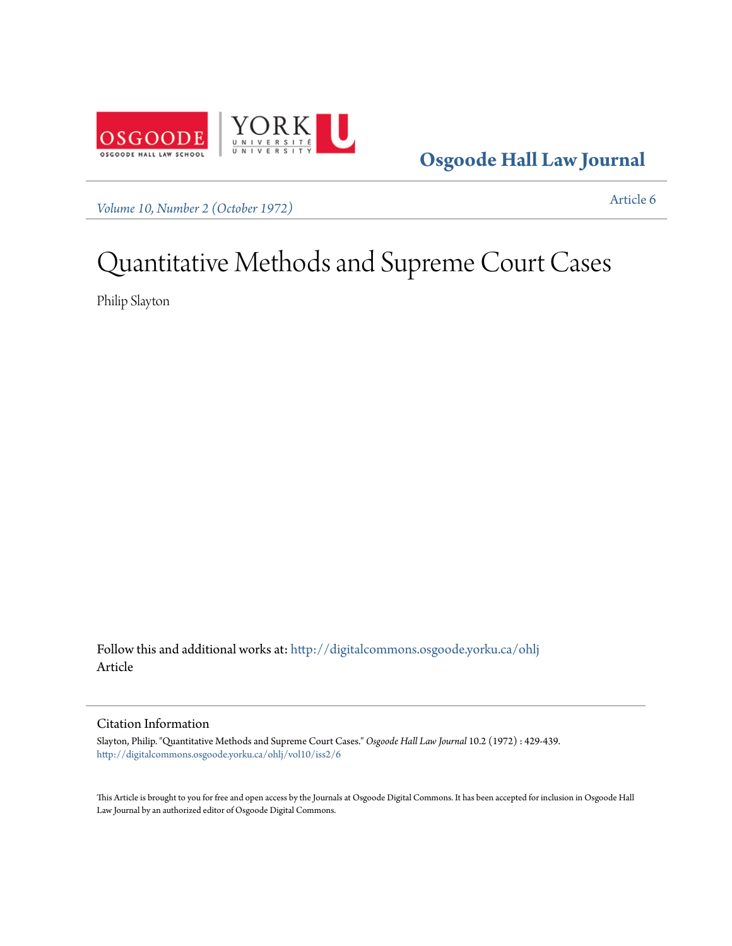

**[Osgoode Hall Law Journal](http://digitalcommons.osgoode.yorku.ca/ohlj?utm_source=digitalcommons.osgoode.yorku.ca%2Fohlj%2Fvol10%2Fiss2%2F6&utm_medium=PDF&utm_campaign=PDFCoverPages)**

*[Volume 10, Number 2 \(October 1972\)](http://digitalcommons.osgoode.yorku.ca/ohlj/vol10/iss2?utm_source=digitalcommons.osgoode.yorku.ca%2Fohlj%2Fvol10%2Fiss2%2F6&utm_medium=PDF&utm_campaign=PDFCoverPages)* [Article 6](http://digitalcommons.osgoode.yorku.ca/ohlj/vol10/iss2/6?utm_source=digitalcommons.osgoode.yorku.ca%2Fohlj%2Fvol10%2Fiss2%2F6&utm_medium=PDF&utm_campaign=PDFCoverPages)

## Quantitative Methods and Supreme Court Cases

Philip Slayton

Follow this and additional works at: [http://digitalcommons.osgoode.yorku.ca/ohlj](http://digitalcommons.osgoode.yorku.ca/ohlj?utm_source=digitalcommons.osgoode.yorku.ca%2Fohlj%2Fvol10%2Fiss2%2F6&utm_medium=PDF&utm_campaign=PDFCoverPages) Article

## Citation Information

Slayton, Philip. "Quantitative Methods and Supreme Court Cases." *Osgoode Hall Law Journal* 10.2 (1972) : 429-439. [http://digitalcommons.osgoode.yorku.ca/ohlj/vol10/iss2/6](http://digitalcommons.osgoode.yorku.ca/ohlj/vol10/iss2/6?utm_source=digitalcommons.osgoode.yorku.ca%2Fohlj%2Fvol10%2Fiss2%2F6&utm_medium=PDF&utm_campaign=PDFCoverPages)

This Article is brought to you for free and open access by the Journals at Osgoode Digital Commons. It has been accepted for inclusion in Osgoode Hall Law Journal by an authorized editor of Osgoode Digital Commons.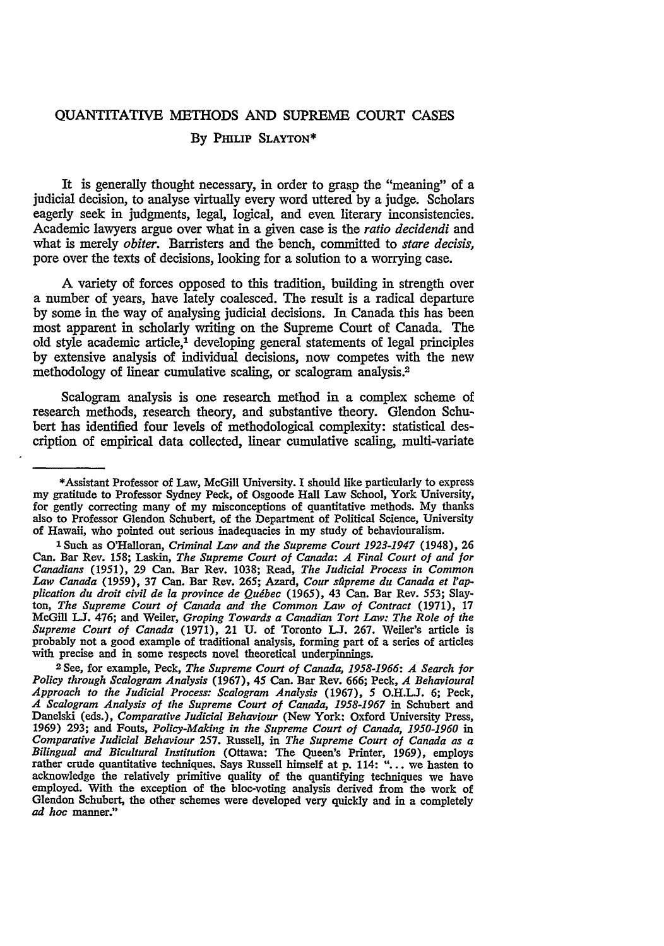## QUANTITATIVE **METHODS AND SUPREME COURT CASES**

## By PmLIP **SLAYTON\***

It is generally thought necessary, in order to grasp the "meaning" of a judicial decision, to analyse virtually every word uttered by a judge. Scholars eagerly seek in judgments, legal, logical, and even literary inconsistencies. Academic lawyers argue over what in a given case is the *ratio decidendi* and what is merely *obiter.* Barristers and the bench, committed to *stare decisis,* pore over the texts of decisions, looking for a solution to a worrying case.

A variety of forces opposed to this tradition, building in strength over a number of years, have lately coalesced. The result is a radical departure by some in the way of analysing judicial decisions. In Canada this has been most apparent in scholarly writing on the Supreme Court of Canada. The old style academic article,' developing general statements of legal principles by extensive analysis of individual decisions, now competes with the new methodology of linear cumulative scaling, or scalogram analysis.<sup>2</sup>

Scalogram analysis is one research method in a complex scheme of research methods, research theory, and substantive theory. Glendon Schubert has identified four levels of methodological complexity: statistical description of empirical data collected, linear cumulative scaling, multi-variate

<sup>\*</sup>Assistant Professor of Law, McGill University. I should like particularly to express my gratitude to Professor Sydney Peck, of Osgoode Hall Law School, York University, for gently correcting many of my misconceptions of quantitative methods. My thanks also to Professor Glendon Schubert, of the Department of Political Science, University of Hawaii, who pointed out serious inadequacies in my study of behaviouralism.

**I** Such as O'Halloran, *Criminal Law and the Supreme Court 1923-1947* (1948), 26 Can. Bar Rev. 158; Laskin, *The Supreme Court of Canada: A Final Court of and for Canadians* (1951), 29 Can. Bar Rev. 1038; Read, *The Judicial Process in Common Law Canada (1959),* 37 Can. Bar Rev. **265;** Azard, *Cour sllpreme du Canada et l'application* du *droit civil de* la *province de Qudbec* **(1965),** 43 Can. Bar Rev. 553; Slayton, *The Supreme Court of Canada and the Common Law of Contract* (1971), 17 McGill **LJ.** 476; and Weiler, *Groping Towards a Canadian Tort Law: The Role of the Supreme Court of Canada* (1971), 21 **U.** of Toronto **LJ.** 267. Weiler's article is probably not a good example of traditional analysis, forming part of a series of articles with precise and in some respects novel theoretical underpinnings.<br><sup>2</sup> See, for example, Peck, *The Supreme Court of Canada, 1958-1966: A Search for* 

*Policy through Scalogram Analysis* **(1967),** 45 Can. Bar Rev. **666;** Peck, *A Behavioural Approach to the Judicial Process: Scalogram Analysis* (1967), **5** O.H.LJ. **6;** Peck, *A Scalogram Analysis of the Supreme Court of Canada, 1958-1967* in Schubert and Danelski (eds.), *Comparative Judicial Behaviour* (New York: Oxford University Press, **1969) 293;** and Fouts, *Policy-Making in the Supreme Court of Canada, 1950-1960 in Comparative Judicial Behaviour* 257. Russell, in *The Supreme Court of Canada as a Bilingual and Bicultural Institution* (Ottawa: The Queen's Printer, 1969), employs rather crude quantitative techniques. Says Russell himself at **p.** 114: "... we hasten to acknowledge the relatively primitive quality of the quantifying techniques we have employed. With the exception of the bloc-voting analysis derived from the work of Glendon Schubert, the other schemes were developed very quickly and in a completely *ad hoc* manner."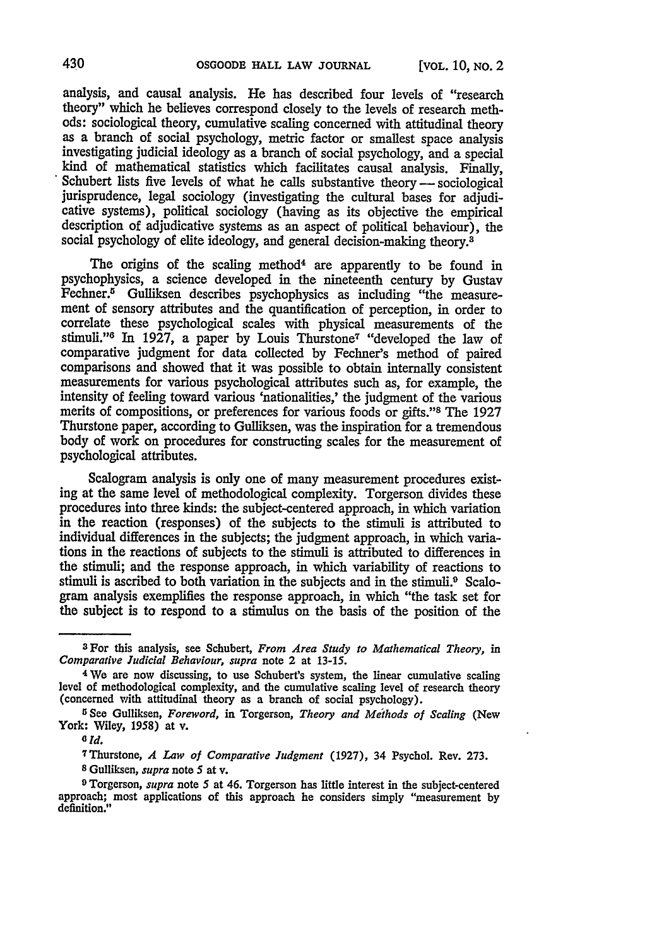analysis, and causal analysis. He has described four levels of "research theory" which he believes correspond closely to the levels of research methods: sociological theory, cumulative scaling concerned with attitudinal theory as a branch of social psychology, metric factor or smallest space analysis investigating judicial ideology as a branch of social psychology, and a special kind of mathematical statistics which facilitates causal analysis. Finally, Schubert lists five levels of what he calls substantive theory --- sociological jurisprudence, legal sociology (investigating the cultural bases for adjudicative systems), political sociology (having as its objective the empirical description of adjudicative systems as an aspect of political behaviour), the social psychology of elite ideology, and general decision-making theory.<sup>8</sup>

The origins of the scaling method<sup>4</sup> are apparently to be found in psychophysics, a science developed in the nineteenth century by Gustav Fechner.5 Gulliksen describes psychophysics as including "the measurement of sensory attributes and the quantification of perception, in order to correlate these psychological scales with physical measurements of the stimuli."<sup>6</sup> In 1927, a paper by Louis Thurstone<sup>7</sup> "developed the law of comparative judgment for data collected by Fechner's method of paired comparisons and showed that it was possible to obtain internally consistent measurements for various psychological attributes such as, for example, the intensity of feeling toward various 'nationalities,' the judgment of the various merits of compositions, or preferences for various foods or gifts."8 The 1927 Thurstone paper, according to Gulliksen, was the inspiration for a tremendous body of work on procedures for constructing scales for the measurement of psychological attributes.

Scalogram analysis is only one of many measurement procedures existing at the same level of methodological complexity. Torgerson divides these procedures into three kinds: the subject-centered approach, in which variation in the reaction (responses) of the subjects to the stimuli is attributed to individual differences in the subjects; the judgment approach, in which variations in the reactions of subjects to the stimuli is attributed to differences in the stimuli; and the response approach, in which variability of reactions to stimuli is ascribed to both variation in the subjects and in the stimuli.<sup>9</sup> Scalogram analysis exemplifies the response approach, in which "the task set for the subject is to respond to a stimulus on the basis of the position of the

**<sup>7</sup>**Thurstone, *A Law of Comparative Judgment* (1927), 34 Psychol. Rev. 273. **<sup>8</sup>**Gulliksen, *supra* note 5 at v.

aFor this analysis, see Schubert, *From Area Study to Mathematical Theory, in Comparative Judicial Behaviour, supra* note 2 at 13-15.

<sup>&</sup>lt;sup>4</sup> We are now discussing, to use Schubert's system, the linear cumulative scaling level of methodological complexity, and the cumulative scaling level of research theory (concerned with attitudinal theory as a branch of

York: Wiley, 1958) at v. *<sup>0</sup> Id.*

**<sup>9</sup>**Torgerson, *supra* note 5 at 46. Torgerson has little interest in the subject-centered approach; most applications of this approach he considers simply "measurement by definition."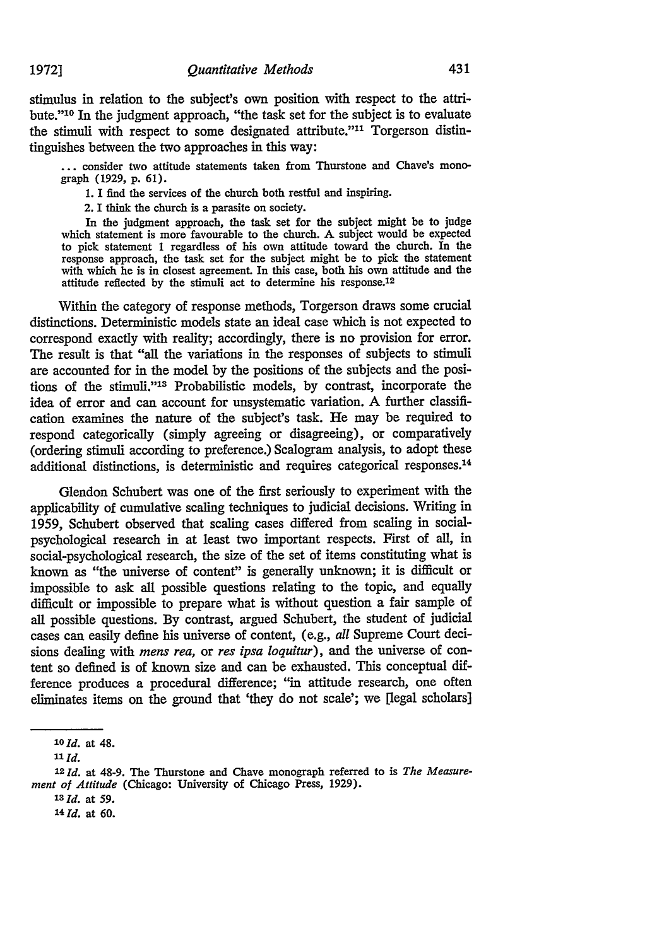stimulus in relation to the subject's own position with respect to the attribute."<sup>10</sup> In the judgment approach, "the task set for the subject is to evaluate the stimuli with respect to some designated attribute."<sup>11</sup> Torgerson distintinguishes between the two approaches in this way:

**...** consider two attitude statements taken from Thurstone and Chave's monograph (1929, **p.** 61).

1. I find the services of the church both restful and inspiring.

2. I think the church is a parasite on society.

In the judgment approach, the task set for the subject might be to judge which statement is more favourable to the church. **A** subject would be expected to pick statement 1 regardless of his own attitude toward the church. In the response approach, the task set for the subject might be to pick the statement with which he is in closest agreement. In this case, both his own attitude and the attitude reflected by the stimuli act to determine his response.<sup>12</sup>

Within the category of response methods, Torgerson draws some crucial distinctions. Deterministic models state an ideal case which is not expected to correspond exactly with reality; accordingly, there is no provision for error. The result is that "all the variations in the responses of subjects to stimuli are accounted for in the model by the positions of the subjects and the positions of the stimuli."<sup>13</sup> Probabilistic models, by contrast, incorporate the idea of error and can account for unsystematic variation. A further classification examines the nature of the subject's task. He may be required to respond categorically (simply agreeing or disagreeing), or comparatively (ordering stimuli according to preference.) Scalogram analysis, to adopt these additional distinctions, is deterministic and requires categorical responses.<sup>14</sup>

Glendon Schubert was one of the first seriously to experiment with the applicability of cumulative scaling techniques to judicial decisions. Writing in 1959, Schubert observed that scaling cases differed from scaling in socialpsychological research in at least two important respects. First of all, in social-psychological research, the size of the set of items constituting what is known as "the universe of content" is generally unknown; it is difficult or impossible to ask all possible questions relating to the topic, and equally difficult or impossible to prepare what is without question a fair sample of all possible questions. By contrast, argued Schubert, the student of judicial cases can easily define his universe of content, (e.g., *all* Supreme Court decisions dealing with *mens rea,* or *res ipsa loquitur),* and the universe of content so defined is of known size and can be exhausted. This conceptual difference produces a procedural difference; "in attitude research, one often eliminates items on the ground that 'they do not scale'; we [legal scholars]

**19723**

*<sup>10</sup>* **Id.** at 48.

**<sup>11</sup>***Id.*

<sup>12</sup> *Id.* at 48-9. The Thurstone and Chave monograph referred to is *The Measurement of Attitude* (Chicago: University of Chicago Press, 1929).

**<sup>13</sup> Id.** at **59.**

<sup>14</sup>**Id.** at **60.**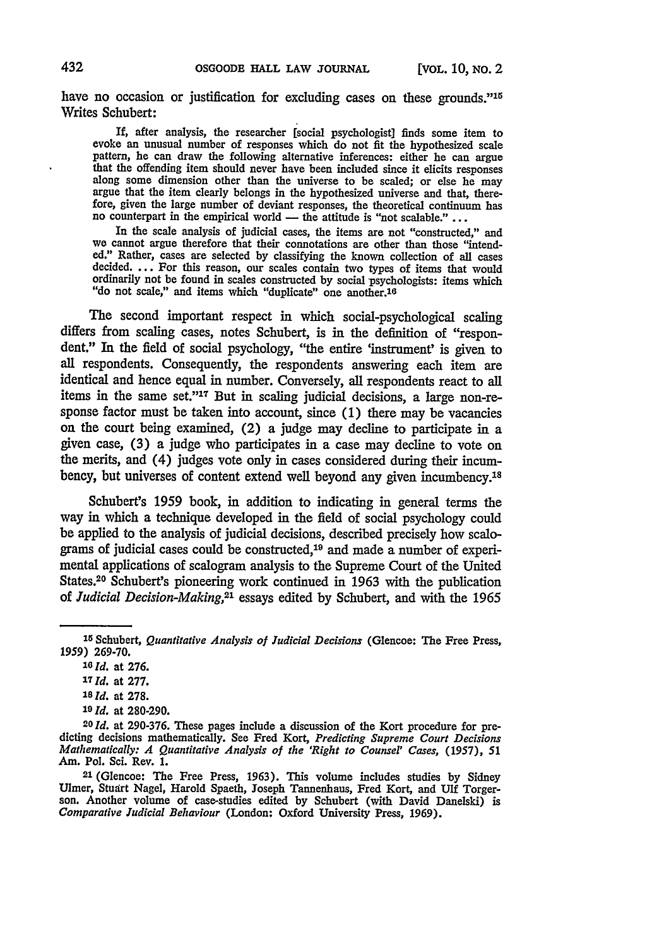have no occasion or justification for excluding cases on these grounds."15 Writes Schubert:

If, after analysis, the researcher [social psychologist] finds some item to evoke an unusual number of responses which do not fit the hypothesized scale pattern, he can draw the following alternative inferences: either he can argue that the offending item should never have been included since it elicits responses along some dimension other than the universe to be scaled; o argue that the item clearly belongs in the hypothesized universe and that, therefore, given the large number of deviant responses, the theoretical continuum has no counterpart in the empirical world — the attitude is "not scalable." ...

In the scale analysis of judicial cases, the items are not "constructed," and we cannot argue therefore that their connotations are other than those "intended." Rather, cases are selected by classifying the known collection of all cases decided.... For this reason, our scales contain two types of items that would ordinarily not be found in scales constructed by social psychologists: items which "do not scale," and items which "duplicate" one another.16

The second important respect in which social-psychological scaling differs from scaling cases, notes Schubert, is in the definition of "respondent." In the field of social psychology, "the entire 'instrument' is given to all respondents. Consequently, the respondents answering each item are identical and hence equal in number. Conversely, all respondents react to all items in the same set."<sup>17</sup> But in scaling judicial decisions, a large non-response factor must be taken into account, since (1) there may be vacancies on the court being examined, (2) a judge may decline to participate in a given case, (3) a judge who participates in a case may decline to vote on the merits, and (4) judges vote only in cases considered during their incumbency, but universes of content extend well beyond any given incumbency.<sup>18</sup>

Schubert's 1959 book, in addition to indicating in general terms the way in which a technique developed in the field of social psychology could be applied to the analysis of judicial decisions, described precisely how scalograms of judicial cases could be constructed,<sup>19</sup> and made a number of experimental applications of scalogram analysis to the Supreme Court of the United States.20 Schubert's pioneering work continued in 1963 with the publication of *Judicial Decision-Making,2'* essays edited by Schubert, and with the 1965

- **<sup>18</sup>Id.** at **278.**
- *<sup>19</sup>Id.* at **280-290.**

**<sup>1</sup>**<sup>5</sup> Schubert, *Quantitative Analysis of Judicial Decisions* (Glencoe: The Free Press, 1959) 269-70.

*<sup>10</sup> Id.* at **276.**

**<sup>17</sup>***Id.* at **277.**

**<sup>20</sup>** *Id.* at 290-376. These pages include a discussion of the Kort procedure for predicting decisions mathematically. See Fred Kort, *Predicting Supreme Court Decisions Mathematically: A* Quantitative Analysis of *the 'Right to Counsel' Cases, (1957), 51* Am. Pol. Sci. Rev. 1.

**<sup>21</sup>**(Glencoe: The Free Press, 1963). This volume includes studies by Sidney Ulmer, Stuart Nagel, Harold Spaeth, Joseph Tannenhaus, Fred Kort, and Ulf Torger- son. Another volume of case-studies edited **by** Schubert (with David Danelski) is *Comparative Judicial Behaviour* (London: Oxford University Press, 1969).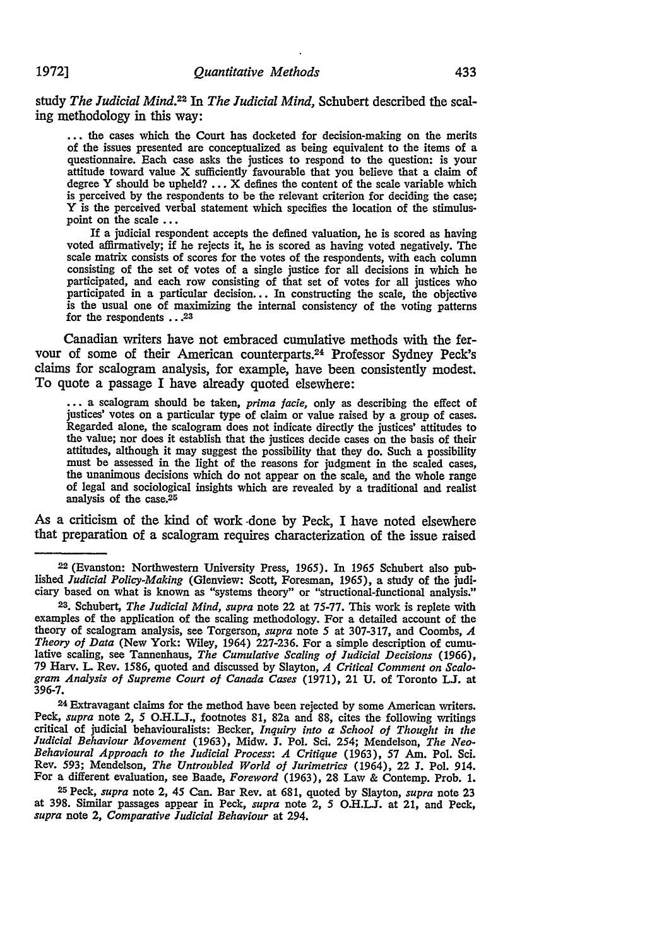study *The Judicial Mind.22 In The Judicial Mind,* Schubert described the scaling methodology in this way:

**...** the cases which the Court has docketed for decision-making on the merits questionnaire. Each case asks the justices to respond to the question: is your attitude toward value X sufficiently favourable that you believe that a claim of degree Y should be upheld? ... X defines the content of the scale variable which is perceived by the respondents to be the relevant criterion for deciding the case; Y is the perceived verbal statement which specifies the location of the stimulus-<br>point on the scale ...

If a judicial respondent accepts the defined valuation, he is scored as having voted affirmatively; **if** he rejects it, he is scored as having voted negatively. The scale matrix consists of scores for the votes of the respondents, with each column consisting of the set of votes of a single justice for all decisions in which he participated, and each row consisting of that set of votes for all justices who participated in a particular decision... In constructing the scale, the objective is the usual one of maximizing the internal consistency of the voting patterns for the respondents **.. 23**

Canadian writers have not embraced cumulative methods with the fervour of some of their American counterparts. 24 Professor Sydney Peck's claims for scalogram analysis, for example, have been consistently modest. To quote a passage I have already quoted elsewhere:

**:-** a scalogram should be taken, *prima jacie,* only as describing the effect of justices' votes on a particular type of claim or value raised by a group of cases. Regarded alone, the scalogram does not indicate directly the justices' attitudes to the value; nor does it establish that the justices decide cases on the basis of their attitudes, although it may suggest the possibility that they do. Such a possibility must be assessed in the light of the reasons for judgment in the scaled cases, the unanimous decisions which do not appear on the scale, and the whole range of legal and sociological insights which are revealed by a traditional and realist analysis of the case.<sup>25</sup>

As a criticism of the kind of work -done by Peck, I have noted elsewhere that preparation of a scalogram requires characterization of the issue raised

**22** (Evanston: Northwestern University Press, 1965). In 1965 Schubert also published *Judicial Policy-Making* (Glenview: Scott, Foresman, 1965), a study of the judi- ciary based on what is known as "systems theory" or "structional-functional analysis."

**23.** Schubert, *The Judicial Mind, supra* note 22 at 75-77. This work is replete with examples of the application of the scaling methodology. For a detailed account of the theory of scalogram analysis, see Torgerson, *supra* note 5 at 307-317, and Coombs, *A* lative scaling, see Tannenhaus, *The Cumulative Scaling of Judicial Decisions* (1966), 79 Harv. L Rev. 1586, quoted and discussed by Slayton, *A Critical Comment on Scalegram Analysis of Supreme Court of Canada Cases* (1971), 21 U. of Toronto *LJ.* at 396-7.

24 Extravagant claims for the method have been rejected by some American writers. Peck, *supra* note 2, 5 **O.H.LJ.,** footnotes 81, 82a and 88, cites the following writings critical of judicial behaviouralists: Becker, *Inquiry into a School of Thought in the Judicial Behaviour Movement* (1963), Midw. **J.** Pol. Sci. 254; Mendelson, *The Neo-Behavioural Approach to the Judicial Process: A Critique* (1963), 57 Am. Pol. Sci. Rev. 593; Mendelson, *The Untroubled World of Jurimetrics* (1964), 22 **J.** Pol. 914. For a different evaluation, see Baade, *Foreword* (1963), 28 Law & Contemp. Prob. 1.

25 Peck, *supra* note 2, 45 Can. Bar Rev. at 681, quoted by Slayton, *supra* note 23 at 398. Similar passages appear in Peck, *supra* note 2, 5 O.H.LJ. at 21, and Peck, *supra* note 2, *Comparative Judicial Behaviour* at 294.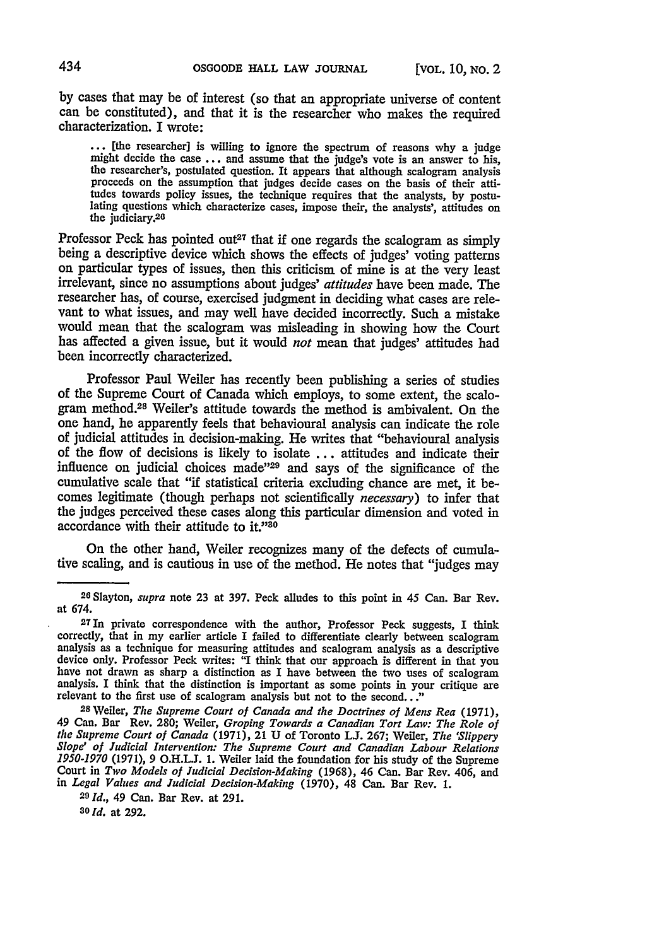by cases that may be of interest (so that an appropriate universe of content can be constituted), and that it is the researcher who makes the required characterization. **I** wrote:

... [the researcher] is willing to ignore the spectrum of reasons why a judge might decide the case ... and assume that the judge's vote is an answer to his, the researcher's, postulated question. It appears that although scalogram analysis proceeds on the assumption that judges decide cases on the basis of their atti-<br>tudes towards policy issues, the technique requires that the analysts, by postulating questions which characterize cases, impose their, the analysts', attitudes on the judiciary.<sup>26</sup>

Professor Peck has pointed out<sup>27</sup> that if one regards the scalogram as simply being a descriptive device which shows the effects of judges' voting patterns on particular types of issues, then this criticism of mine is at the very least irrelevant, since no assumptions about judges' *attitudes* have been made. The researcher has, of course, exercised judgment in deciding what cases are relevant to what issues, and may well have decided incorrectly. Such a mistake would mean that the scalogram was misleading in showing how the Court has affected a given issue, but it would *not* mean that judges' attitudes had been incorrectly characterized.

Professor Paul Weiler has recently been publishing a series of studies of the Supreme Court of Canada which employs, to some extent, the scalegram method.<sup>28</sup> Weiler's attitude towards the method is ambivalent. On the one hand, he apparently feels that behavioural analysis can indicate the role of judicial attitudes in decision-making. He writes that "behavioural analysis of the flow of decisions is likely to isolate ... attitudes and indicate their influence on judicial choices made <sup>229</sup> and says of the significance of the cumulative scale that "if statistical criteria excluding chance are met, it becomes legitimate (though perhaps not scientifically *necessary)* to infer that the judges perceived these cases along this particular dimension and voted in accordance with their attitude to it."30

On the other hand, Weiler recognizes many of the defects of cumulative scaling, and is cautious in use of the method. He notes that "judges may

*<sup>2</sup> <sup>6</sup>*Slayton, *supra* note **23** at 397. Peck alludes to this point in *45* Can. Bar Rev. at 674.

 $27$ In private correspondence with the author, Professor Peck suggests, I think correctly, that in my earlier article I failed to differentiate clearly between scalogram analysis as a technique for measuring attitudes and scalogram analysis as a descriptive device only. Professor Peck writes: "I think that our approach is different in that you have not drawn as sharp a distinction as I ha

<sup>49</sup> Can. Bar Rev. 280; Weiler, Groping Towards a Canadian Tort Law: The Role of the Supreme Court of Canada (1971), 21 U of Toronto L.J. 267; Weiler, The 'Slippery Slope' of Judicial Intervention: The Supreme Court and Cana *1950-1970* (1971), 9 **O.H.LJ.** 1. Weiler laid the foundation for his study of the Supreme Court in *Two Models of Judicial Decision-Making* (1968), 46 Can. Bar Rev. 406, and in *Legal Values and Judicial Decision-Making* (1970), 48 Can. Bar Rev. 1.

**<sup>20</sup>***Id.,* 49 Can. Bar Rev. at 291.

**<sup>30</sup>***Id.* at 292.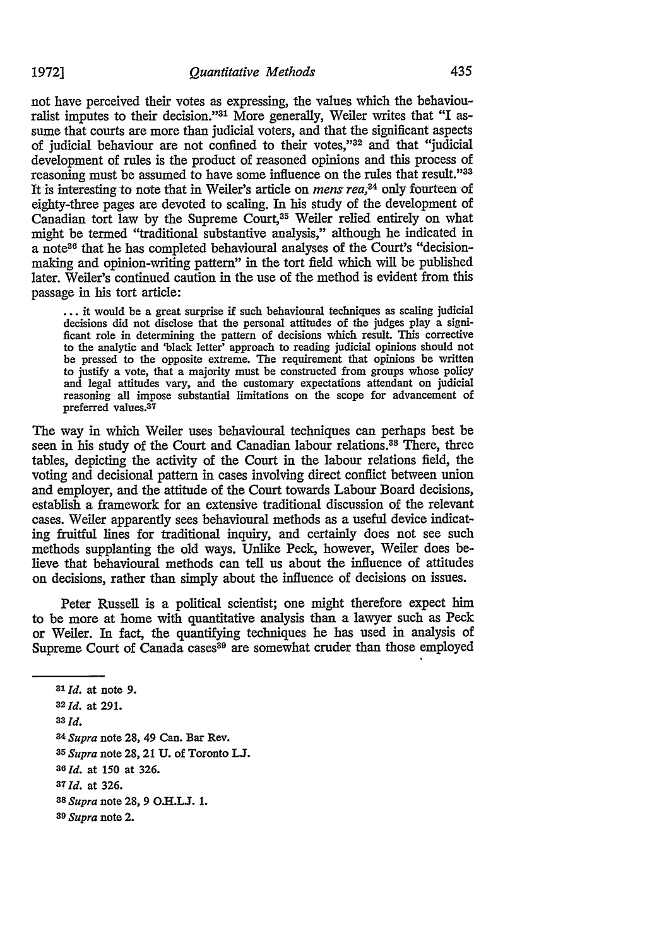not have perceived their votes as expressing, the values which the behaviouralist imputes to their decision."31 More generally, Weiler writes that "I assume that courts are more than judicial voters, and that the significant aspects of judicial behaviour are not confined to their votes,"32 and that "judicial development of rules is the product of reasoned opinions and this process of reasoning must be assumed to have some influence on the rules that result."33 It is interesting to note that in Weiler's article on *mens rea*,<sup>34</sup> only fourteen of eighty-three pages are devoted to scaling. **In** his study of the development of Canadian tort law by the Supreme Court,35 Weiler relied entirely on what might be termed "traditional substantive analysis," although he indicated in a note<sup>36</sup> that he has completed behavioural analyses of the Court's "decisionmaking and opinion-writing pattern" in the tort field which will be published later. Weiler's continued caution in the use of the method is evident from this passage in his tort article:

... it would be a great surprise if such behavioural techniques as scaling judicial decisions did not disclose that the personal attitudes of the judges play a significant role in determining the pattern of decisions which result. This corrective to the analytic and 'black letter' approach to reading judicial opinions should not be pressed to the opposite extreme. The requirement that opinions be written to justify a vote, that a majority must be constructed from groups whose policy and legal attitudes vary, and the customary expectations attendant on judicial reasoning all impose substantial limitations **on** the scope for advancement of preferred values.<sup>37</sup>

The way in which Weler uses behavioural techniques can perhaps best be seen in his study of the Court and Canadian labour relations.<sup>38</sup> There, three tables, depicting the activity of the Court in the labour relations field, the voting and decisional pattern in cases involving direct conflict between union and employer, and the attitude of the Court towards Labour Board decisions, establish a framework for an extensive traditional discussion of the relevant cases. Weiler apparently sees behavioural methods as a useful device indicating fruitful lines for traditional inquiry, and certainly does not see such methods supplanting the old ways. Unlike Peck, however, Weiler does believe that behavioural methods can tell us about the influence of attitudes on decisions, rather than simply about the influence of decisions on issues.

Peter Russell is a political scientist; one might therefore expect him to be more at home with quantitative analysis than a lawyer such as Peck or Weler. In fact, the quantifying techniques he has used in analysis of Supreme Court of Canada cases<sup>39</sup> are somewhat cruder than those employed

- **33** *Id.*
- *84 Supra* note 28, 49 Can. Bar Rev.
- *3 5 Supra* note 28, 21 U. of Toronto **L.**
- *36 Id.* at 150 at 326.
- **a7Id.** at 326.
- *<sup>3</sup> <sup>8</sup>Supra* note 28, 9 **O.H.LJ.** 1.
- **39** *Supra* note 2.

*<sup>31</sup>Id.* at note **9.**

*<sup>32</sup> Id.* at **291.**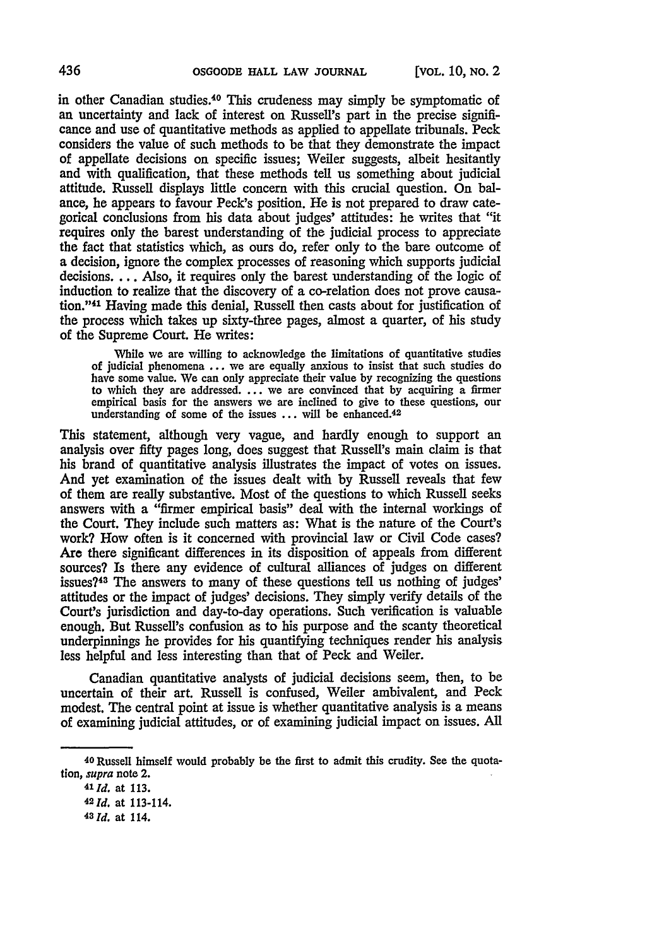in other Canadian studies.<sup>40</sup> This crudeness may simply be symptomatic of an uncertainty and lack of interest on Russell's part in the precise significance and use of quantitative methods as applied to appellate tribunals. Peck considers the value of such methods to be that they demonstrate the impact of appellate decisions on specific issues; Weiler suggests, albeit hesitantly and with qualification, that these methods tell us something about judicial attitude. Russell displays little concern with this crucial question. On balance, he appears to favour Peck's position. He is not prepared to draw categorical conclusions from his data about judges' attitudes: he writes that "it requires only the barest understanding of the judicial process to appreciate the fact that statistics which, as ours do, refer only to the bare outcome of a decision, ignore the complex processes of reasoning which supports judicial decisions. ... Also, it requires only the barest understanding of the logic of induction to realize that the discovery of a co-relation does not prove causation."41 Having made this denial, Russell then casts about for justification of the process which takes up sixty-three pages, almost a quarter, of his study of the Supreme Court. He writes:

While we are willing to acknowledge the limitations of quantitative studies of judicial phenomena **...** we are equally anxious to insist that such studies do have some value. We can only appreciate their value by recognizing the questions to which they are addressed. ... we are convinced that **by** acquiring a firmer empirical basis for the answers we are inclined to give to these questions, our understanding of some of the issues **...** will be enhanced.<sup>42</sup>

This statement, although very vague, and hardly enough to support an analysis over fifty pages long, does suggest that Russell's main claim is that his brand of quantitative analysis illustrates the impact of votes on issues. And yet examination of the issues dealt with **by** Russell reveals that few of them are really substantive. Most of the questions to which Russell seeks answers with a "firmer empirical basis" deal with the internal workings of the Court. They include such matters as: What is the nature of the Court's work? How often is it concerned with provincial law or Civil Code cases? Are there significant differences in its disposition of appeals from different sources? Is there any evidence of cultural alliances of judges on different issues?43 The answers to many of these questions tell us nothing of judges' attitudes or the impact of judges' decisions. They simply verify details of the Court's jurisdiction and day-to-day operations. Such verification is valuable enough. But Russell's confusion as to his purpose and the scanty theoretical underpinnings he provides for his quantifying techniques render his analysis less helpful and less interesting than that of Peck and Weiler.

Canadian quantitative analysts of judicial decisions seem, then, to be uncertain of their art. Russell is confused, Weiler ambivalent, and Peck modest. The central point at issue is whether quantitative analysis is a means of examining judicial attitudes, or of examining judicial impact on issues. **All**

**<sup>40</sup> Russell** himself would probably be the first to admit this crudity. See the quota*tion, supra* note 2.

*<sup>41</sup>* **Id.** at **113.**

*<sup>42</sup> Id.* at 113-114.

**<sup>43</sup> Id.** at 114.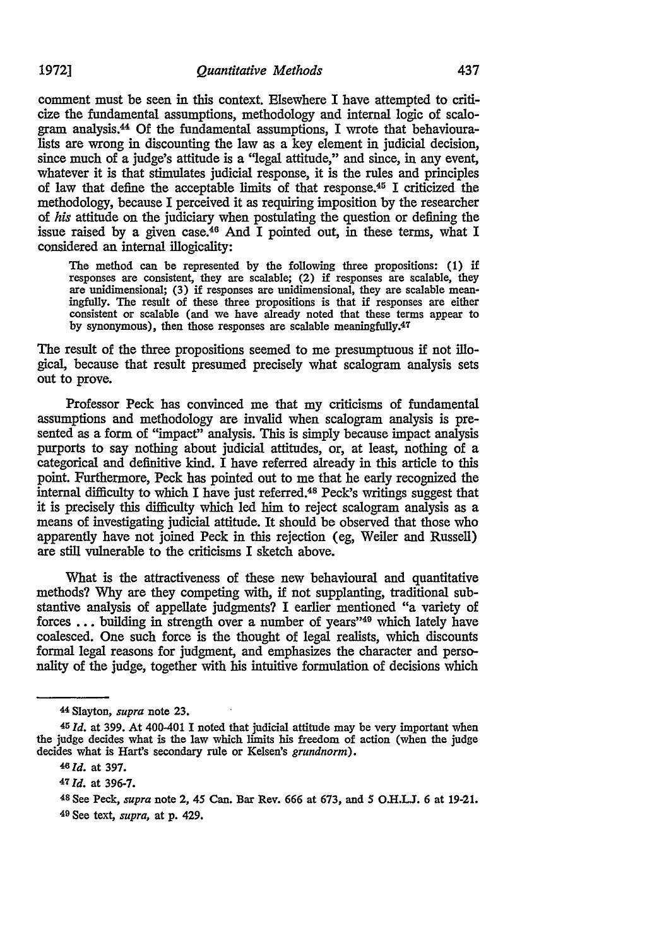comment must be seen in this context. Elsewhere I have attempted to criticize the fundamental assumptions, methodology and internal logic of scalbgram analysis.4 **Of** the fundamental assumptions, I wrote that behaviouralists are wrong in discounting the law as a key element in judicial decision, since much of a judge's attitude is a "legal attitude," and since, in any event, whatever it is that stimulates judicial response, it is the rules and principles of law that define the acceptable limits of that response.<sup>45</sup> I criticized the methodology, because I perceived it as requiring imposition by the researcher of *his* attitude on the judiciary when postulating the question or defining the issue raised by a given case.46 And I pointed out, in these terms, what I considered an internal illogicality:

**The** method can be represented **by** the following three propositions: **(1) if** responses are consistent, they are scalable; (2) if responses are scalable, they are unidimensional; **(3)** if responses are unidimensional, they are scalable meaningfully. **The** result of these three propositions is that if responses are either consistent or scalable (and we have already noted that these terms appear to by synonymous), then those responses are scalable meaningfully.<sup>47</sup>

The result of the three propositions seemed to me presumptuous if not illogical, because that result presumed precisely what scalogram analysis sets out to prove.

Professor Peck has convinced me that my criticisms of fundamental assumptions and methodology are invalid when scalogram analysis is presented as a form of "impact" analysis. This is simply because impact analysis purports to say nothing about judicial attitudes, or, at least, nothing of a categorical and definitive kind. I have referred already in this article to this point. Furthermore, Peck has pointed out to me that he early recognized the internal difficulty to which I have just referred. 48 Peck's writings suggest that it is precisely this difficulty which led him to reject scalogram analysis as a means of investigating judicial attitude. It should be observed that those who apparently have not joined Peck in this rejection (eg, Weiler and Russell) are still vulnerable to the criticisms I sketch above.

What is the attractiveness of these new behavioural and quantitative methods? Why are they competing with, if not supplanting, traditional substantive analysis of appellate judgments? I earlier mentioned "a variety of forces  $\dots$  building in strength over a number of years"<sup>49</sup> which lately have coalesced. One such force is the thought of legal realists, which discounts formal legal reasons for judgment, and emphasizes the character and personality of the judge, together with his intuitive formulation of decisions which

<sup>4</sup> <sup>4</sup> Slayton, *supra* note **23.**

*<sup>45</sup>***Id.** at 399. At 400-401 I noted that judicial attitude may be very important when the judge decides what is the law which limits his freedom of action (when the judge decides what is Hart's secondary rule or Kelsen's *grundnorm*).

**<sup>46</sup>***Id.* at 397.

**<sup>47</sup>***Id.* at **396-7.**

<sup>4</sup> 8 See Peck, *supra* note 2, 45 Can. Bar Rev. **666** at **673,** and *S* O-.LJ. **6** at **19-21.** 49 **See** text, *supra,* at **p.** 429.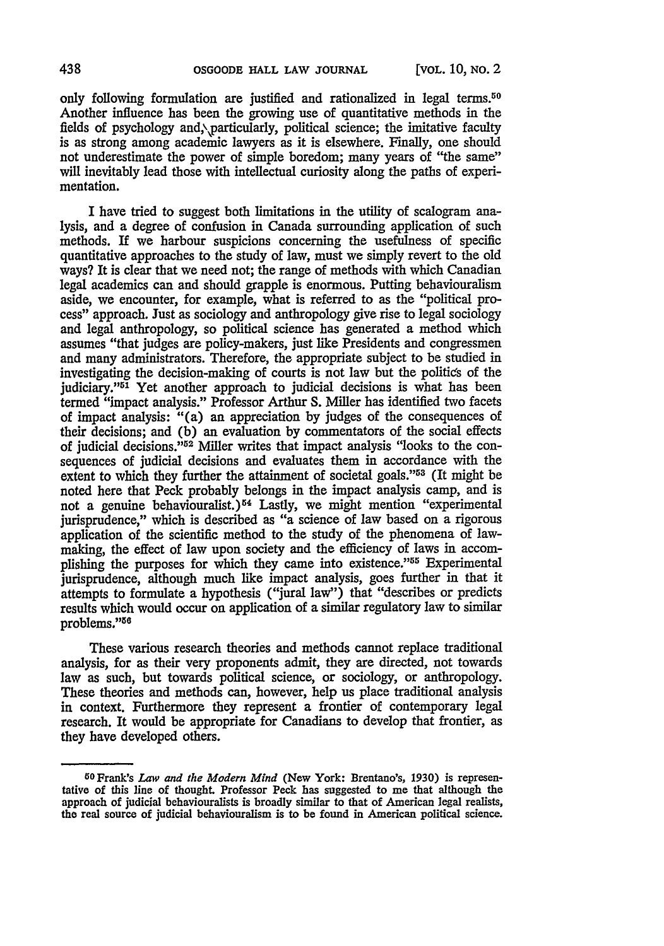only following formulation are justified and rationalized in legal terms.<sup>50</sup> Another influence has been the growing use of quantitative methods in the fields of psychology and, particularly, political science; the imitative faculty is as strong among academic lawyers as it is elsewhere. Finally, one should not underestimate the power of simple boredom; many years of "the same" will inevitably lead those with intellectual curiosity along the paths of experimentation.

I have tried to suggest both limitations in the utility of scalogram analysis, and a degree of confusion in Canada surrounding application of such methods. If we harbour suspicions concerning the usefulness of specific quantitative approaches to the study of law, must we simply revert to the old ways? It is clear that we need not; the range of methods with which Canadian legal academics can and should grapple is enormous. Putting behaviouralism aside, we encounter, for example, what is referred to as the "political process" approach. Just as sociology and anthropology give rise to legal sociology and legal anthropology, so political science has generated a method which assumes "that judges are policy-makers, just like Presidents and congressmen and many administrators. Therefore, the appropriate subject to be studied in investigating the decision-making of courts is not law but the politics of the judiciary."<sup>51</sup> Yet another approach to judicial decisions is what has been termed "impact analysis." Professor Arthur **S.** Miller has identified two facets of impact analysis: "(a) an appreciation by judges of the consequences of their decisions; and (b) an evaluation by commentators of the social effects of judicial decisions.152 Miller writes that impact analysis "looks to the consequences of judicial decisions and evaluates them in accordance with the extent to which they further the attainment of societal goals." $53$  (It might be noted here that Peck probably belongs in the impact analysis camp, and is not a genuine behaviouralist.) 54 Lastly, we might mention "experimental jurisprudence," which is described as "a science of law based on a rigorous application of the scientific method to the study of the phenomena of lawmaking, the effect of law upon society and the efficiency of laws in accomplishing the purposes for which they came into existence."<sup>55</sup> Experimental jurisprudence, although much like impact analysis, goes further in that it attempts to formulate a hypothesis ("jural law") that "describes or predicts results which would occur on application of a similar regulatory law to similar problems."<sup>56</sup>

These various research theories and methods cannot replace traditional analysis, for as their very proponents admit, they are directed, not towards law as such, but towards political science, or sociology, or anthropology. These theories and methods can, however, help us place traditional analysis in context. Furthermore they represent a frontier of contemporary legal research. It would be appropriate for Canadians to develop that frontier, as they have developed others.

<sup>5</sup> 0Frank's *Law and the Modern Mind* (New York: Brentano's, 1930) is representative of this line of thought Professor Peck has suggested to me that although the approach of judicial behaviouralists is broadly similar to that of American legal realists, the real source of judicial behaviouralism is to **be** found in American political science.